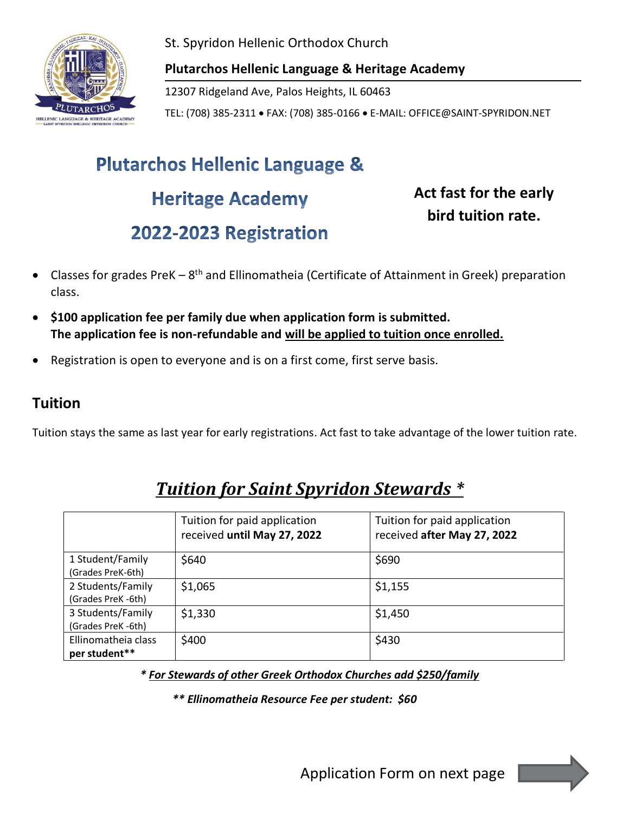

St. Spyridon Hellenic Orthodox Church

**Plutarchos Hellenic Language & Heritage Academy**

12307 Ridgeland Ave, Palos Heights, IL 60463

TEL: (708) 385-2311 • FAX: (708) 385-0166 • E-MAIL: OFFICE@SAINT-SPYRIDON.NET

# **Plutarchos Hellenic Language & Heritage Academy** 2022-2023 Registration

**Act fast for the early bird tuition rate.**

- Classes for grades PreK  $-8$ <sup>th</sup> and Ellinomatheia (Certificate of Attainment in Greek) preparation class.
- **\$100 application fee per family due when application form is submitted. The application fee is non-refundable and will be applied to tuition once enrolled.**
- Registration is open to everyone and is on a first come, first serve basis.

### **Tuition**

Tuition stays the same as last year for early registrations. Act fast to take advantage of the lower tuition rate.

|                                         | Tuition for paid application<br>received until May 27, 2022 | Tuition for paid application<br>received after May 27, 2022 |
|-----------------------------------------|-------------------------------------------------------------|-------------------------------------------------------------|
| 1 Student/Family<br>(Grades PreK-6th)   | \$640                                                       | \$690                                                       |
| 2 Students/Family<br>(Grades PreK -6th) | \$1,065                                                     | \$1,155                                                     |
| 3 Students/Family<br>(Grades PreK -6th) | \$1,330                                                     | \$1,450                                                     |
| Ellinomatheia class<br>per student**    | \$400                                                       | \$430                                                       |

## *Tuition for Saint Spyridon Stewards \**

*\* For Stewards of other Greek Orthodox Churches add \$250/family*

*\*\* Ellinomatheia Resource Fee per student: \$60*